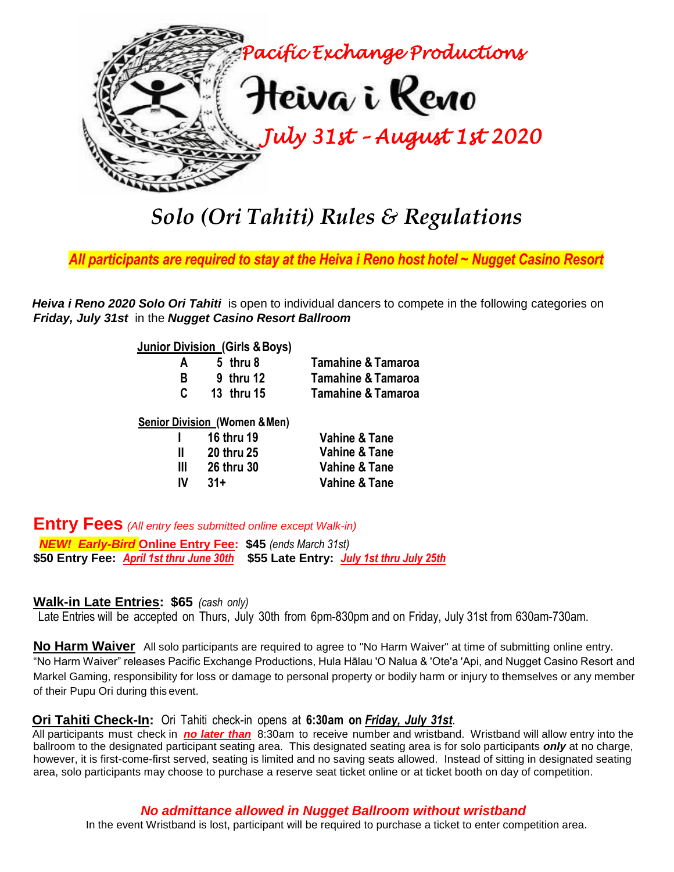

# *Solo (Ori Tahiti) Rules & Regulations*

*All participants are required to stay at the Heiva i Reno host hotel ~ Nugget Casino Resort*

*Heiva i Reno 2020 Solo Ori Tahiti* is open to individual dancers to compete in the following categories on *Friday, July 31st* in the *Nugget Casino Resort Ballroom*

**Junior Division (Girls & Boys)** 

| A  | 5 thru 8          | <b>Tamahine &amp; Tamaroa</b> |
|----|-------------------|-------------------------------|
| R  | 9 thru 12         | <b>Tamahine &amp; Tamaroa</b> |
| C. | <b>13 thru 15</b> | <b>Tamahine &amp; Tamaroa</b> |

#### **Senior Division (Women &Men)**

| <b>Vahine &amp; Tane</b> |
|--------------------------|
| <b>Vahine &amp; Tane</b> |
| <b>Vahine &amp; Tane</b> |
|                          |

**Entry Fees** *(All entry fees submitted online except Walk-in)*

*NEW! Early-Bird* **Online Entry Fee: \$45** *(ends March 31st)* **\$50 Entry Fee:** *April 1st thru June 30th* **\$55 Late Entry:** *July 1st thru July 25th*

### **Walk-in Late Entries: \$65** *(cash only)*

Late Entries will be accepted on Thurs, July 30th from 6pm-830pm and on Friday, July 31st from 630am-730am.

**No Harm Waiver** All solo participants are required to agree to "No Harm Waiver" at time of submitting online entry. "No Harm Waiver" releases Pacific Exchange Productions, Hula Hālau 'O Nalua & 'Ote'a 'Api, and Nugget Casino Resort and Markel Gaming, responsibility for loss or damage to personal property or bodily harm or injury to themselves or any member of their Pupu Ori during this event.

#### **Ori Tahiti Check-In:** Ori Tahiti check-in opens at **6:30am on** *Friday, July 31st*.

All participants must check in *no later than* 8:30am to receive number and wristband. Wristband will allow entry into the ballroom to the designated participant seating area. This designated seating area is for solo participants *only* at no charge, however, it is first-come-first served, seating is limited and no saving seats allowed. Instead of sitting in designated seating area, solo participants may choose to purchase a reserve seat ticket online or at ticket booth on day of competition.

### *No admittance allowed in Nugget Ballroom without wristband*

In the event Wristband is lost, participant will be required to purchase a ticket to enter competition area.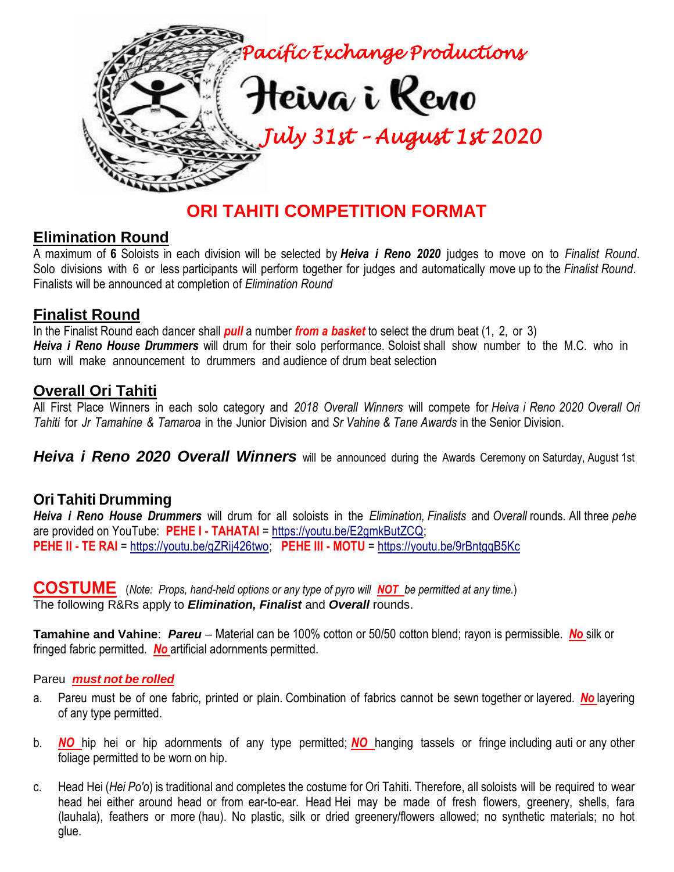

## **ORI TAHITI COMPETITION FORMAT**

### **Elimination Round**

A maximum of **6** Soloists in each division will be selected by *Heiva i Reno 2020* judges to move on to *Finalist Round*. Solo divisions with 6 or less participants will perform together for judges and automatically move up to the *Finalist Round*. Finalists will be announced at completion of *Elimination Round*

### **Finalist Round**

In the Finalist Round each dancer shall *pull* a number *from a basket* to select the drum beat (1, 2, or 3) *Heiva i Reno House Drummers* will drum for their solo performance. Soloist shall show number to the M.C. who in turn will make announcement to drummers and audience of drum beat selection

## **Overall Ori Tahiti**

All First Place Winners in each solo category and *2018 Overall Winners* will compete for *Heiva i Reno 2020 Overall Ori Tahiti* for *Jr Tamahine & Tamaroa* in the Junior Division and *Sr Vahine & Tane Awards* in the Senior Division.

*Heiva i Reno 2020 Overall Winners* will be announced during the Awards Ceremony on Saturday, August 1st

### **Ori Tahiti Drumming**

*Heiva i Reno House Drummers* will drum for all soloists in the *Elimination, Finalists* and *Overall* rounds*.* All three *pehe* are provided on YouTube: **PEHE I - TAHATAI** = [https://youtu.be/E2gmkButZCQ;](https://youtu.be/E2gmkButZCQ) **PEHE II - TE RAI** = [https://youtu.be/gZRij426two;](https://youtu.be/gZRij426two) **PEHE III - MOTU** =<https://youtu.be/9rBntgqB5Kc>

**COSTUME** (*Note: Props, hand-held options or any type of pyro will NOT be permitted at any time.*) The following R&Rs apply to *Elimination, Finalist* and *Overall* rounds.

**Tamahine and Vahine**: *Pareu* – Material can be 100% cotton or 50/50 cotton blend; rayon is permissible. *No* silk or fringed fabric permitted. *No* artificial adornments permitted.

### Pareu *must not be rolled*

- a. Pareu must be of one fabric, printed or plain. Combination of fabrics cannot be sewn together or layered. *No* layering of any type permitted.
- b. *NO* hip hei or hip adornments of any type permitted; *NO* hanging tassels or fringe including auti or any other foliage permitted to be worn on hip.
- c. Head Hei (*Hei Po'o*) is traditional and completes the costume for Ori Tahiti. Therefore, all soloists will be required to wear head hei either around head or from ear-to-ear. Head Hei may be made of fresh flowers, greenery, shells, fara (lauhala), feathers or more (hau). No plastic, silk or dried greenery/flowers allowed; no synthetic materials; no hot glue.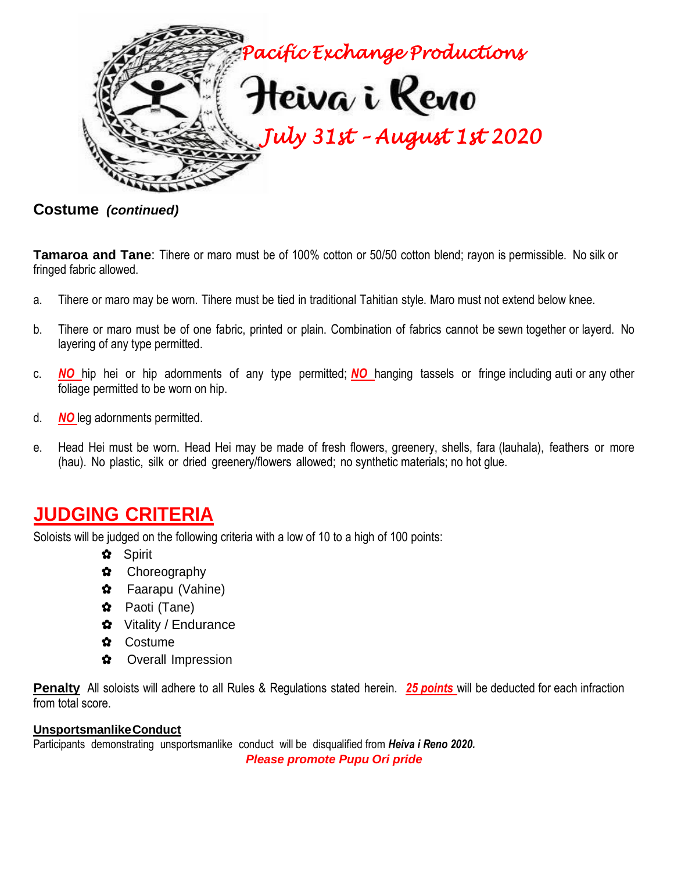

**Costume** *(continued)*

**Tamaroa and Tane**: Tihere or maro must be of 100% cotton or 50/50 cotton blend; rayon is permissible. No silk or fringed fabric allowed.

- a. Tihere or maro may be worn. Tihere must be tied in traditional Tahitian style. Maro must not extend below knee.
- b. Tihere or maro must be of one fabric, printed or plain. Combination of fabrics cannot be sewn together or layerd. No layering of any type permitted.
- c. *NO* hip hei or hip adornments of any type permitted; *NO* hanging tassels or fringe including auti or any other foliage permitted to be worn on hip.
- d. *NO* leg adornments permitted.
- e. Head Hei must be worn. Head Hei may be made of fresh flowers, greenery, shells, fara (lauhala), feathers or more (hau). No plastic, silk or dried greenery/flowers allowed; no synthetic materials; no hot glue.

## **JUDGING CRITERIA**

Soloists will be judged on the following criteria with a low of 10 to a high of 100 points:

- ✿ Spirit
- ✿ Choreography
- ✿ Faarapu (Vahine)
- ✿ Paoti (Tane)
- ✿ Vitality / Endurance
- ✿ Costume
- ✿ Overall Impression

**Penalty** All soloists will adhere to all Rules & Regulations stated herein. *25 points* will be deducted for each infraction from total score.

#### **UnsportsmanlikeConduct**

Participants demonstrating unsportsmanlike conduct will be disqualified from *Heiva i Reno 2020.*

*Please promote Pupu Ori pride*